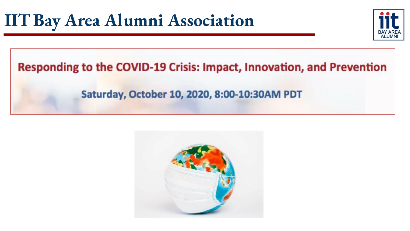

# Responding to the COVID-19 Crisis: Impact, Innovation, and Prevention

### Saturday, October 10, 2020, 8:00-10:30AM PDT

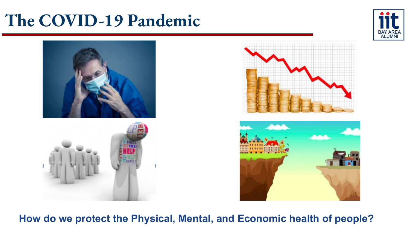# **The COVID-19 Pandemic**





**How do we protect the Physical, Mental, and Economic health of people?**

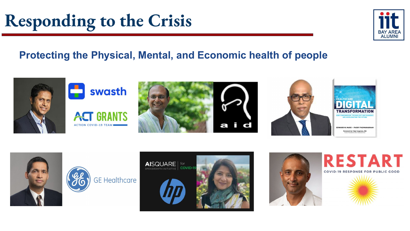# **Responding to the Crisis**

# **Protecting the Physical, Mental, and Economic health of people**



















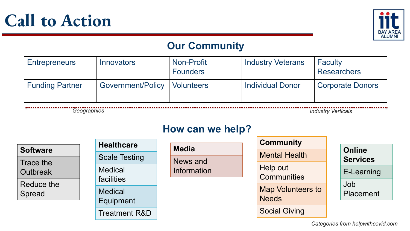



### **Our Community**

| <b>Entrepreneurs</b>   | <b>Innovators</b>              | <b>Non-Profit</b><br><b>Founders</b> | <b>Industry Veterans</b> | Faculty<br><b>Researchers</b> |
|------------------------|--------------------------------|--------------------------------------|--------------------------|-------------------------------|
| <b>Funding Partner</b> | Government/Policy   Volunteers |                                      | <b>Individual Donor</b>  | <b>Corporate Donors</b>       |

*Geographies Industry Verticals*

#### **How can we help?**

|                 | <b>Healthcare</b>                   |              | <b>Community</b>                         |                 |
|-----------------|-------------------------------------|--------------|------------------------------------------|-----------------|
| <b>Software</b> |                                     | <b>Media</b> | <b>Mental Health</b>                     | <b>Online</b>   |
| Trace the       | <b>Scale Testing</b>                | News and     |                                          | <b>Services</b> |
| <b>Outbreak</b> | <b>Medical</b><br><b>facilities</b> | Information  | Help out<br><b>Communities</b>           | E-Learning      |
| Reduce the      |                                     |              |                                          | Job             |
| Spread          | <b>Medical</b><br>Equipment         |              | <b>Map Volunteers to</b><br><b>Needs</b> | Placement       |
|                 |                                     |              | <b>Social Giving</b>                     |                 |
|                 | <b>Treatment R&amp;D</b>            |              |                                          |                 |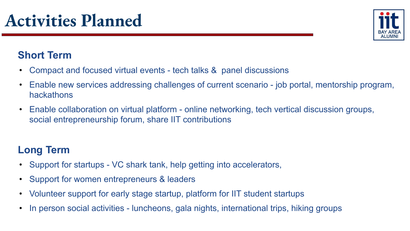

# **Short Term**

- Compact and focused virtual events tech talks & panel discussions
- Enable new services addressing challenges of current scenario job portal, mentorship program, hackathons
- Enable collaboration on virtual platform online networking, tech vertical discussion groups, social entrepreneurship forum, share IIT contributions

# **Long Term**

- Support for startups VC shark tank, help getting into accelerators,
- Support for women entrepreneurs & leaders
- Volunteer support for early stage startup, platform for IIT student startups
- In person social activities luncheons, gala nights, international trips, hiking groups